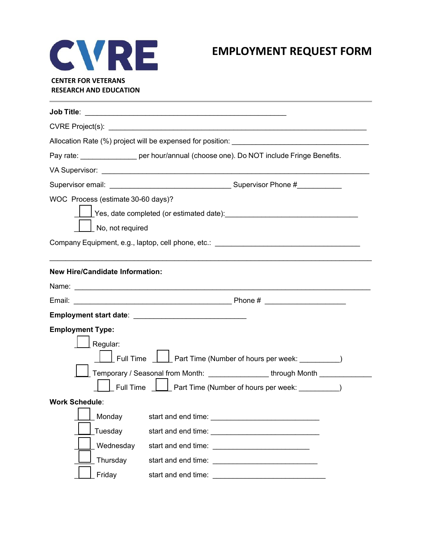

## **EMPLOYMENT REQUEST FORM**

## **CENTER FOR VETERANS RESEARCH AND EDUCATION**

|                                        | CVRE Project(s): Example 2014 12:30 and 2014 12:30 and 2014 12:30 and 2014 12:30 and 2014 12:30 and 2014 12:30                                                                                                                 |  |  |
|----------------------------------------|--------------------------------------------------------------------------------------------------------------------------------------------------------------------------------------------------------------------------------|--|--|
|                                        | Allocation Rate (%) project will be expensed for position:                                                                                                                                                                     |  |  |
|                                        | Pay rate: __________________ per hour/annual (choose one). Do NOT include Fringe Benefits.                                                                                                                                     |  |  |
|                                        | VA Supervisor: University of the Supervisor of the Contract of the Contract of the Contract of the Contract of the Contract of the Contract of the Contract of the Contract of the Contract of the Contract of the Contract of |  |  |
|                                        |                                                                                                                                                                                                                                |  |  |
| WOC Process (estimate 30-60 days)?     |                                                                                                                                                                                                                                |  |  |
|                                        |                                                                                                                                                                                                                                |  |  |
| No, not required                       |                                                                                                                                                                                                                                |  |  |
|                                        | Company Equipment, e.g., laptop, cell phone, etc.: ______________________________                                                                                                                                              |  |  |
|                                        |                                                                                                                                                                                                                                |  |  |
| <b>New Hire/Candidate Information:</b> |                                                                                                                                                                                                                                |  |  |
|                                        |                                                                                                                                                                                                                                |  |  |
|                                        |                                                                                                                                                                                                                                |  |  |
|                                        |                                                                                                                                                                                                                                |  |  |
| <b>Employment Type:</b>                |                                                                                                                                                                                                                                |  |  |
| Regular:                               |                                                                                                                                                                                                                                |  |  |
|                                        | Full Time <u>_____</u> Part Time (Number of hours per week: __________)                                                                                                                                                        |  |  |
|                                        | Temporary / Seasonal from Month: ______________through Month ___________________                                                                                                                                               |  |  |
|                                        | Full Time $\boxed{\underline{\qquad}}$ Part Time (Number of hours per week: __________)                                                                                                                                        |  |  |
| <b>Work Schedule:</b>                  |                                                                                                                                                                                                                                |  |  |
| Monday                                 | start and end time: <u>contract and the start and end</u>                                                                                                                                                                      |  |  |
| Tuesday                                |                                                                                                                                                                                                                                |  |  |
| Wednesday                              |                                                                                                                                                                                                                                |  |  |
|                                        |                                                                                                                                                                                                                                |  |  |
| Thursday                               |                                                                                                                                                                                                                                |  |  |
| Friday                                 | start and end time:<br><u> 2000 - Jan Barnett, mars et al. (b. 1980)</u>                                                                                                                                                       |  |  |